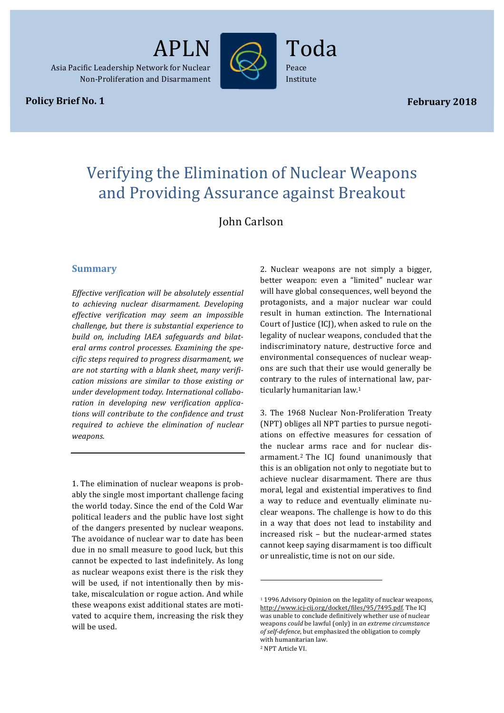

Asia Pacific Leadership Network for Nuclear Non-Proliferation and Disarmament

**Policy Brief No. 1** 

Toda Peace Institute

*Policy Brief No. 12* APLN/CNND1

# Verifying the Elimination of Nuclear Weapons and Providing Assurance against Breakout

John Carlson

## **Summary**

*Effective verification will be absolutely essential to achieving nuclear disarmament. Developing effective verification may seem an impossible challenge, but there is substantial experience to* build on, including IAEA safeguards and bilateral arms control processes. Examining the spe*cific steps required to progress disarmament, we*  are not starting with a blank sheet, many verifi*cation missions are similar to those existing or* under development today. International collaboration in developing new verification applica*tions will contribute to the confidence and trust required to achieve the elimination of nuclear weapons.*

1. The elimination of nuclear weapons is probably the single most important challenge facing the world today. Since the end of the Cold War political leaders and the public have lost sight of the dangers presented by nuclear weapons. The avoidance of nuclear war to date has been due in no small measure to good luck, but this cannot be expected to last indefinitely. As long as nuclear weapons exist there is the risk they will be used, if not intentionally then by mistake, miscalculation or rogue action. And while these weapons exist additional states are motivated to acquire them, increasing the risk they will be used.

2. Nuclear weapons are not simply a bigger, better weapon: even a "limited" nuclear war will have global consequences, well beyond the protagonists, and a major nuclear war could result in human extinction. The International Court of Justice (ICJ), when asked to rule on the legality of nuclear weapons, concluded that the indiscriminatory nature, destructive force and environmental consequences of nuclear weapons are such that their use would generally be contrary to the rules of international law, particularly humanitarian law.<sup>1</sup>

3. The 1968 Nuclear Non-Proliferation Treaty (NPT) obliges all NPT parties to pursue negotiations on effective measures for cessation of the nuclear arms race and for nuclear disarmament.<sup>2</sup> The ICJ found unanimously that this is an obligation not only to negotiate but to achieve nuclear disarmament. There are thus moral, legal and existential imperatives to find a way to reduce and eventually eliminate nuclear weapons. The challenge is how to do this in a way that does not lead to instability and increased risk – but the nuclear-armed states cannot keep saying disarmament is too difficult or unrealistic, time is not on our side.

<sup>&</sup>lt;sup>1</sup> 1996 Advisory Opinion on the legality of nuclear weapons, http://www.icj-cij.org/docket/files/95/7495.pdf. The ICJ was unable to conclude definitively whether use of nuclear weapons *could* be lawful (only) in an extreme circumstance of self-defence, but emphasized the obligation to comply with humanitarian law. <sup>2</sup> NPT Article VI.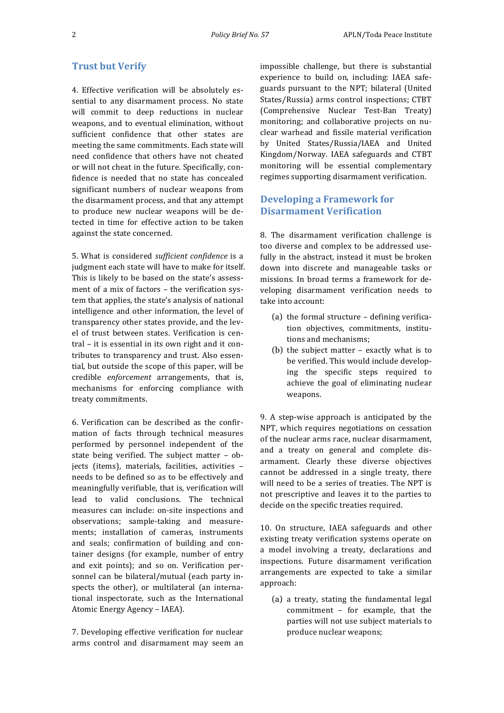## **Trust but Verify**

4. Effective verification will be absolutely essential to any disarmament process. No state will commit to deep reductions in nuclear weapons, and to eventual elimination, without sufficient confidence that other states are meeting the same commitments. Each state will need confidence that others have not cheated or will not cheat in the future. Specifically, confidence is needed that no state has concealed significant numbers of nuclear weapons from the disarmament process, and that any attempt to produce new nuclear weapons will be detected in time for effective action to be taken against the state concerned.

5. What is considered *sufficient confidence* is a judgment each state will have to make for itself. This is likely to be based on the state's assessment of a mix of factors - the verification system that applies, the state's analysis of national intelligence and other information, the level of transparency other states provide, and the level of trust between states. Verification is central – it is essential in its own right and it contributes to transparency and trust. Also essential, but outside the scope of this paper, will be credible *enforcement* arrangements, that is, mechanisms for enforcing compliance with treaty commitments.

6. Verification can be described as the confirmation of facts through technical measures performed by personnel independent of the state being verified. The subject matter  $-$  objects (items), materials, facilities, activities needs to be defined so as to be effectively and meaningfully verifiable, that is, verification will lead to valid conclusions. The technical measures can include: on-site inspections and observations; sample-taking and measurements; installation of cameras, instruments and seals; confirmation of building and container designs (for example, number of entry and exit points); and so on. Verification personnel can be bilateral/mutual (each party inspects the other), or multilateral (an international inspectorate, such as the International Atomic Energy Agency - IAEA).

7. Developing effective verification for nuclear arms control and disarmament may seem an

impossible challenge, but there is substantial experience to build on, including: IAEA safeguards pursuant to the NPT; bilateral (United States/Russia) arms control inspections; CTBT (Comprehensive Nuclear Test-Ban Treaty) monitoring; and collaborative projects on nuclear warhead and fissile material verification by United States/Russia/IAEA and United Kingdom/Norway. IAEA safeguards and CTBT monitoring will be essential complementary regimes supporting disarmament verification.

# **Developing a Framework for Disarmament Verification**

8. The disarmament verification challenge is too diverse and complex to be addressed usefully in the abstract, instead it must be broken down into discrete and manageable tasks or missions. In broad terms a framework for developing disarmament verification needs to take into account:

- (a) the formal structure  $-$  defining verification objectives, commitments, institutions and mechanisms:
- (b) the subject matter  $-$  exactly what is to be verified. This would include developing the specific steps required to achieve the goal of eliminating nuclear weapons.

9. A step-wise approach is anticipated by the NPT, which requires negotiations on cessation of the nuclear arms race, nuclear disarmament, and a treaty on general and complete disarmament. Clearly these diverse objectives cannot be addressed in a single treaty, there will need to be a series of treaties. The NPT is not prescriptive and leaves it to the parties to decide on the specific treaties required.

10. On structure, IAEA safeguards and other existing treaty verification systems operate on a model involving a treaty, declarations and inspections. Future disarmament verification arrangements are expected to take a similar approach:

 $(a)$  a treaty, stating the fundamental legal commitment  $-$  for example, that the parties will not use subject materials to produce nuclear weapons;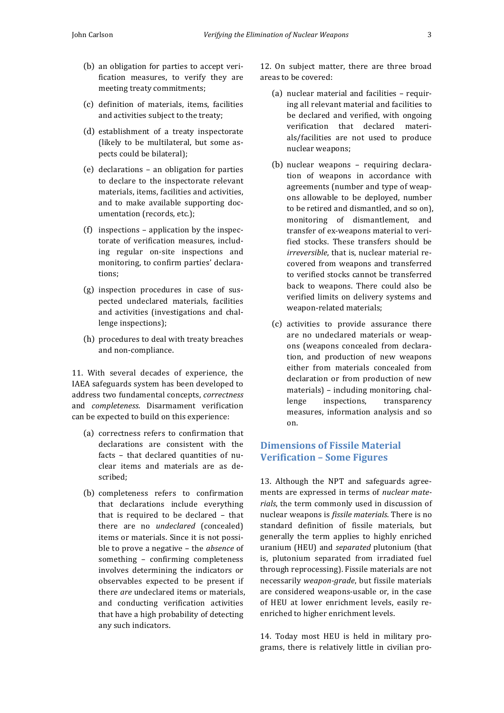- (b) an obligation for parties to accept verification measures, to verify they are meeting treaty commitments;
- (c) definition of materials, items, facilities and activities subject to the treaty;
- (d) establishment of a treaty inspectorate (likely to be multilateral, but some aspects could be bilateral):
- $(e)$  declarations  $-$  an obligation for parties to declare to the inspectorate relevant materials, items, facilities and activities. and to make available supporting documentation (records, etc.);
- $(f)$  inspections application by the inspectorate of verification measures, including regular on-site inspections and monitoring, to confirm parties' declarations;
- (g) inspection procedures in case of suspected undeclared materials, facilities and activities (investigations and challenge inspections);
- (h) procedures to deal with treaty breaches and non-compliance.

11. With several decades of experience, the IAEA safeguards system has been developed to address two fundamental concepts, *correctness* and *completeness*. Disarmament verification can be expected to build on this experience:

- (a) correctness refers to confirmation that declarations are consistent with the facts - that declared quantities of nuclear items and materials are as described;
- (b) completeness refers to confirmation that declarations include everything that is required to be declared  $-$  that there are no *undeclared* (concealed) items or materials. Since it is not possible to prove a negative – the *absence* of something - confirming completeness involves determining the indicators or observables expected to be present if there *are* undeclared items or materials. and conducting verification activities that have a high probability of detecting any such indicators.

12. On subject matter, there are three broad areas to be covered:

- (a) nuclear material and facilities  $-$  requiring all relevant material and facilities to be declared and verified, with ongoing verification that declared materials/facilities are not used to produce nuclear weapons;
- (b) nuclear weapons requiring declaration of weapons in accordance with agreements (number and type of weapons allowable to be deployed, number to be retired and dismantled, and so on), monitoring of dismantlement, and transfer of ex-weapons material to verified stocks. These transfers should be *irreversible*, that is, nuclear material recovered from weapons and transferred to verified stocks cannot be transferred back to weapons. There could also be verified limits on delivery systems and weapon-related materials;
- (c) activities to provide assurance there are no undeclared materials or weapons (weapons concealed from declaration, and production of new weapons either from materials concealed from declaration or from production of new materials) - including monitoring, challenge inspections, transparency measures, information analysis and so on.

# **Dimensions of Fissile Material Verification – Some Figures**

13. Although the NPT and safeguards agreements are expressed in terms of *nuclear mate*rials, the term commonly used in discussion of nuclear weapons is *fissile materials*. There is no standard definition of fissile materials, but generally the term applies to highly enriched uranium (HEU) and *separated* plutonium (that is, plutonium separated from irradiated fuel through reprocessing). Fissile materials are not necessarily *weapon-grade*, but fissile materials are considered weapons-usable or, in the case of HEU at lower enrichment levels, easily reenriched to higher enrichment levels.

14. Today most HEU is held in military programs, there is relatively little in civilian pro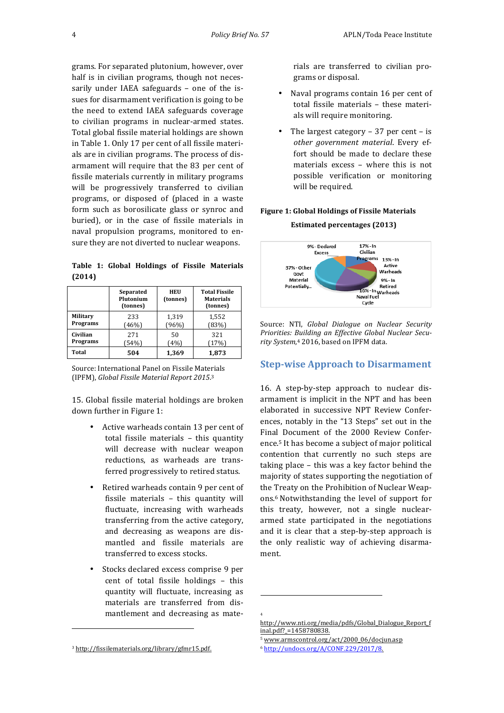grams. For separated plutonium, however, over half is in civilian programs, though not necessarily under IAEA safeguards - one of the issues for disarmament verification is going to be the need to extend IAEA safeguards coverage to civilian programs in nuclear-armed states. Total global fissile material holdings are shown in Table 1. Only 17 per cent of all fissile materials are in civilian programs. The process of disarmament will require that the 83 per cent of fissile materials currently in military programs will be progressively transferred to civilian programs, or disposed of (placed in a waste form such as borosilicate glass or synroc and buried), or in the case of fissile materials in naval propulsion programs, monitored to ensure they are not diverted to nuclear weapons.

Table 1: Global Holdings of Fissile Materials **(2014)**

|              | Separated<br>Plutonium<br>(tonnes) | HEU<br>(tonnes) | <b>Total Fissile</b><br><b>Materials</b><br>(tonnes) |
|--------------|------------------------------------|-----------------|------------------------------------------------------|
| Military     | 233                                | 1,319           | 1,552                                                |
| Programs     | (46%)                              | (96%)           | (83%)                                                |
| Civilian     | 271                                | 50              | 321                                                  |
| Programs     | (54%)                              | (4%)            | (17%)                                                |
| <b>Total</b> | 504                                | 1,369           | 1,873                                                |

Source: International Panel on Fissile Materials (IPFM), *Global Fissile Material Report 2015*.<sup>3</sup>

15. Global fissile material holdings are broken down further in Figure 1:

- Active warheads contain 13 per cent of total fissile materials  $-$  this quantity will decrease with nuclear weapon reductions, as warheads are transferred progressively to retired status.
- Retired warheads contain 9 per cent of fissile materials  $-$  this quantity will fluctuate, increasing with warheads transferring from the active category, and decreasing as weapons are dismantled and fissile materials are transferred to excess stocks.
- Stocks declared excess comprise 9 per cent of total fissile holdings - this quantity will fluctuate, increasing as materials are transferred from dismantlement and decreasing as mate-

 

rials are transferred to civilian programs or disposal. 

- Naval programs contain 16 per cent of total fissile materials - these materials will require monitoring.
- The largest category  $-37$  per cent  $-$  is *other government material*. Every effort should be made to declare these materials excess  $-$  where this is not possible verification or monitoring will be required.

#### **Figure 1: Global Holdings of Fissile Materials**

#### **Estimated percentages (2013)**



Source: NTI, *Global Dialogue on Nuclear Security Priorities: Building an Effective Global Nuclear Secu*rity System,<sup>4</sup> 2016, based on IPFM data.

## **Step-wise Approach to Disarmament**

16. A step-by-step approach to nuclear disarmament is implicit in the NPT and has been elaborated in successive NPT Review Conferences, notably in the "13 Steps" set out in the Final Document of the 2000 Review Conference.<sup>5</sup> It has become a subject of major political contention that currently no such steps are taking place  $-$  this was a key factor behind the majority of states supporting the negotiation of the Treaty on the Prohibition of Nuclear Weapons.<sup>6</sup> Notwithstanding the level of support for this treaty, however, not a single nucleararmed state participated in the negotiations and it is clear that a step-by-step approach is the only realistic way of achieving disarmament. 

 

<sup>3</sup> http://fissilematerials.org/library/gfmr15.pdf.

<sup>4</sup>

http://www.nti.org/media/pdfs/Global\_Dialogue\_Report\_f inal.pdf?\_=1458780838.

<sup>5</sup> www.armscontrol.org/act/2000\_06/docjun.asp

<sup>6</sup> http://undocs.org/A/CONF.229/2017/8.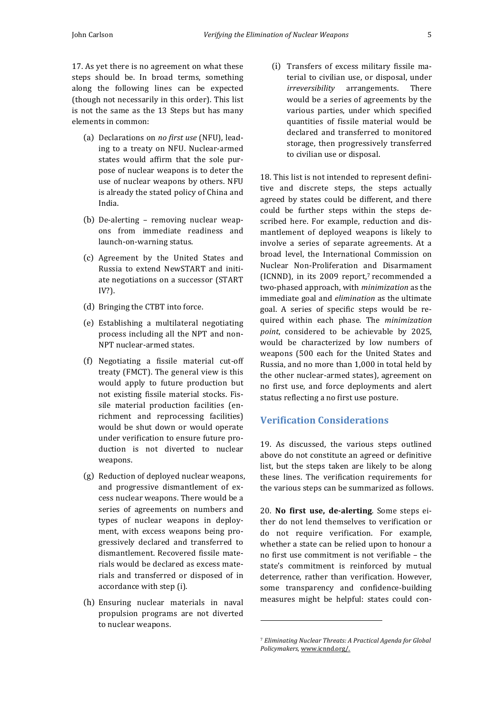17. As yet there is no agreement on what these steps should be. In broad terms, something along the following lines can be expected (though not necessarily in this order). This list is not the same as the 13 Steps but has many elements in common:

- (a) Declarations on *no first use* (NFU), leading to a treaty on NFU. Nuclear-armed states would affirm that the sole purpose of nuclear weapons is to deter the use of nuclear weapons by others. NFU is already the stated policy of China and India.
- (b) De-alerting  $-$  removing nuclear weapons from immediate readiness and launch-on-warning status.
- (c) Agreement by the United States and Russia to extend NewSTART and initiate negotiations on a successor (START IV?).
- (d) Bringing the CTBT into force.
- (e) Establishing a multilateral negotiating process including all the NPT and non-NPT nuclear-armed states.
- (f) Negotiating a fissile material cut-off treaty (FMCT). The general view is this would apply to future production but not existing fissile material stocks. Fissile material production facilities (enrichment and reprocessing facilities) would be shut down or would operate under verification to ensure future production is not diverted to nuclear weapons.
- (g) Reduction of deployed nuclear weapons, and progressive dismantlement of excess nuclear weapons. There would be a series of agreements on numbers and types of nuclear weapons in deployment, with excess weapons being progressively declared and transferred to dismantlement. Recovered fissile materials would be declared as excess materials and transferred or disposed of in accordance with step (i).
- (h) Ensuring nuclear materials in naval propulsion programs are not diverted to nuclear weapons.

(i) Transfers of excess military fissile material to civilian use, or disposal, under *irreversibility* arrangements. There would be a series of agreements by the various parties, under which specified quantities of fissile material would be declared and transferred to monitored storage, then progressively transferred to civilian use or disposal.

18. This list is not intended to represent definitive and discrete steps, the steps actually agreed by states could be different, and there could be further steps within the steps described here. For example, reduction and dismantlement of deployed weapons is likely to involve a series of separate agreements. At a broad level, the International Commission on Nuclear Non-Proliferation and Disarmament (ICNND), in its  $2009$  report,<sup>7</sup> recommended a two-phased approach, with *minimization* as the immediate goal and *elimination* as the ultimate goal. A series of specific steps would be required within each phase. The *minimization*  point, considered to be achievable by 2025, would be characterized by low numbers of weapons (500 each for the United States and Russia, and no more than 1,000 in total held by the other nuclear-armed states), agreement on no first use, and force deployments and alert status reflecting a no first use posture.

## **Verification Considerations**

19. As discussed, the various steps outlined above do not constitute an agreed or definitive list, but the steps taken are likely to be along these lines. The verification requirements for the various steps can be summarized as follows.

20. **No first use, de-alerting**. Some steps either do not lend themselves to verification or do not require verification. For example, whether a state can be relied upon to honour a no first use commitment is not verifiable - the state's commitment is reinforced by mutual deterrence, rather than verification. However, some transparency and confidence-building measures might be helpful: states could con-

 

<sup>&</sup>lt;sup>7</sup> Eliminating Nuclear Threats: A Practical Agenda for Global Policymakers, www.icnnd.org/.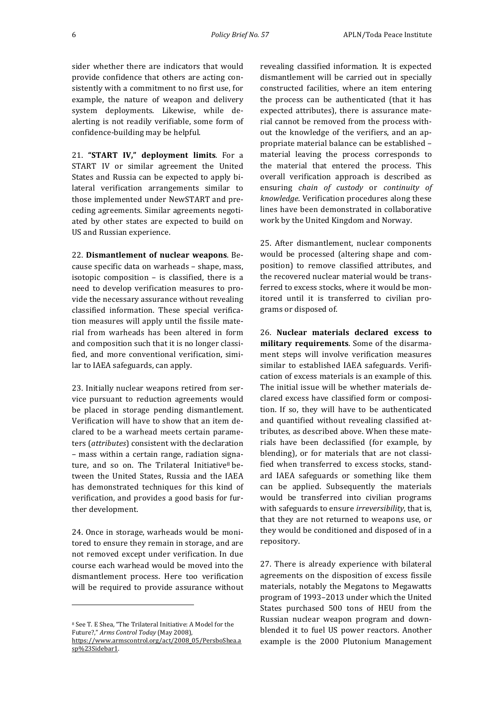sider whether there are indicators that would provide confidence that others are acting consistently with a commitment to no first use, for example, the nature of weapon and delivery system deployments. Likewise, while dealerting is not readily verifiable, some form of confidence-building may be helpful.

21. **"START IV," deployment limits**. For a START IV or similar agreement the United States and Russia can be expected to apply bilateral verification arrangements similar to those implemented under NewSTART and preceding agreements. Similar agreements negotiated by other states are expected to build on US and Russian experience.

22. Dismantlement of nuclear weapons. Because specific data on warheads - shape, mass, isotopic composition  $-$  is classified, there is a need to develop verification measures to provide the necessary assurance without revealing classified information. These special verification measures will apply until the fissile material from warheads has been altered in form and composition such that it is no longer classified, and more conventional verification, similar to IAEA safeguards, can apply.

23. Initially nuclear weapons retired from service pursuant to reduction agreements would be placed in storage pending dismantlement. Verification will have to show that an item declared to be a warhead meets certain parameters (*attributes*) consistent with the declaration – mass within a certain range, radiation signature, and so on. The Trilateral Initiative<sup>8</sup> between the United States, Russia and the IAEA has demonstrated techniques for this kind of verification, and provides a good basis for further development.

24. Once in storage, warheads would be monitored to ensure they remain in storage, and are not removed except under verification. In due course each warhead would be moved into the dismantlement process. Here too verification will be required to provide assurance without

 

revealing classified information. It is expected dismantlement will be carried out in specially constructed facilities, where an item entering the process can be authenticated (that it has expected attributes), there is assurance material cannot be removed from the process without the knowledge of the verifiers, and an appropriate material balance can be established material leaving the process corresponds to the material that entered the process. This overall verification approach is described as ensuring *chain of custody* or *continuity of knowledge*. Verification procedures along these lines have been demonstrated in collaborative work by the United Kingdom and Norway.

25. After dismantlement, nuclear components would be processed (altering shape and composition) to remove classified attributes, and the recovered nuclear material would be transferred to excess stocks, where it would be monitored until it is transferred to civilian programs or disposed of.

26. **Nuclear materials declared excess to**  military requirements. Some of the disarmament steps will involve verification measures similar to established IAEA safeguards. Verification of excess materials is an example of this. The initial issue will be whether materials declared excess have classified form or composition. If so, they will have to be authenticated and quantified without revealing classified attributes, as described above. When these materials have been declassified (for example, by blending), or for materials that are not classified when transferred to excess stocks, standard IAEA safeguards or something like them can be applied. Subsequently the materials would be transferred into civilian programs with safeguards to ensure *irreversibility*, that is, that they are not returned to weapons use, or they would be conditioned and disposed of in a repository.

27. There is already experience with bilateral agreements on the disposition of excess fissile materials, notably the Megatons to Megawatts program of 1993-2013 under which the United States purchased 500 tons of HEU from the Russian nuclear weapon program and downblended it to fuel US power reactors. Another example is the 2000 Plutonium Management

<sup>&</sup>lt;sup>8</sup> See T. E Shea, "The Trilateral Initiative: A Model for the Future?," *Arms Control Today* (May 2008), https://www.armscontrol.org/act/2008\_05/PersboShea.a sp%23Sidebar1.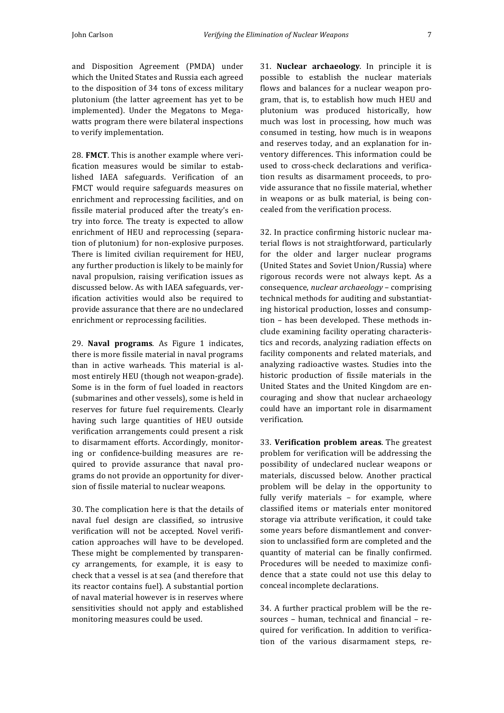and Disposition Agreement (PMDA) under which the United States and Russia each agreed to the disposition of 34 tons of excess military plutonium (the latter agreement has yet to be implemented). Under the Megatons to Megawatts program there were bilateral inspections to verify implementation.

28. **FMCT**. This is another example where verification measures would be similar to established IAEA safeguards. Verification of an FMCT would require safeguards measures on enrichment and reprocessing facilities, and on fissile material produced after the treaty's entry into force. The treaty is expected to allow enrichment of HEU and reprocessing (separation of plutonium) for non-explosive purposes. There is limited civilian requirement for HEU, any further production is likely to be mainly for naval propulsion, raising verification issues as discussed below. As with IAEA safeguards, verification activities would also be required to provide assurance that there are no undeclared enrichment or reprocessing facilities.

29. **Naval programs**. As Figure 1 indicates, there is more fissile material in naval programs than in active warheads. This material is almost entirely HEU (though not weapon-grade). Some is in the form of fuel loaded in reactors (submarines and other vessels), some is held in reserves for future fuel requirements. Clearly having such large quantities of HEU outside verification arrangements could present a risk to disarmament efforts. Accordingly, monitoring or confidence-building measures are required to provide assurance that naval programs do not provide an opportunity for diversion of fissile material to nuclear weapons.

30. The complication here is that the details of naval fuel design are classified, so intrusive verification will not be accepted. Novel verification approaches will have to be developed. These might be complemented by transparency arrangements, for example, it is easy to check that a vessel is at sea (and therefore that its reactor contains fuel). A substantial portion of naval material however is in reserves where sensitivities should not apply and established monitoring measures could be used.

31. **Nuclear archaeology**. In principle it is possible to establish the nuclear materials flows and balances for a nuclear weapon program, that is, to establish how much HEU and plutonium was produced historically, how much was lost in processing, how much was consumed in testing, how much is in weapons and reserves today, and an explanation for inventory differences. This information could be used to cross-check declarations and verification results as disarmament proceeds, to provide assurance that no fissile material, whether in weapons or as bulk material, is being concealed from the verification process.

32. In practice confirming historic nuclear material flows is not straightforward, particularly for the older and larger nuclear programs (United States and Soviet Union/Russia) where rigorous records were not always kept. As a consequence, *nuclear archaeology* – comprising technical methods for auditing and substantiating historical production, losses and consumption - has been developed. These methods include examining facility operating characteristics and records, analyzing radiation effects on facility components and related materials, and analyzing radioactive wastes. Studies into the historic production of fissile materials in the United States and the United Kingdom are encouraging and show that nuclear archaeology could have an important role in disarmament verification.

33. **Verification problem areas**. The greatest problem for verification will be addressing the possibility of undeclared nuclear weapons or materials, discussed below. Another practical problem will be delay in the opportunity to fully verify materials - for example, where classified items or materials enter monitored storage via attribute verification, it could take some years before dismantlement and conversion to unclassified form are completed and the quantity of material can be finally confirmed. Procedures will be needed to maximize confidence that a state could not use this delay to conceal incomplete declarations.

34. A further practical problem will be the resources - human, technical and financial - required for verification. In addition to verification of the various disarmament steps, re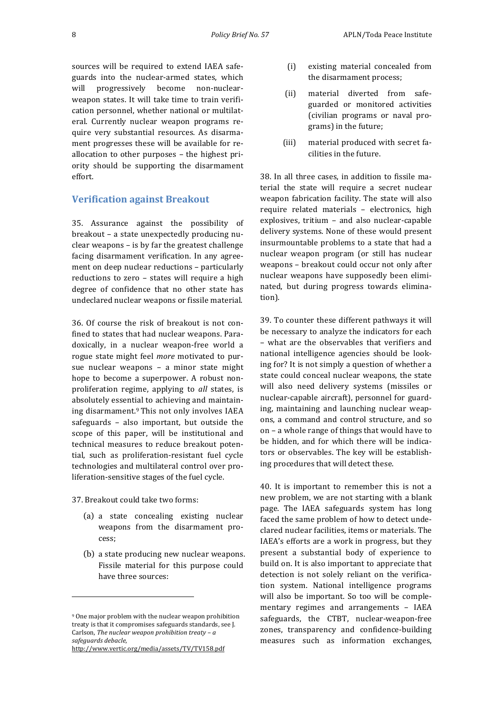sources will be required to extend IAEA safeguards into the nuclear-armed states, which will progressively become non-nuclearweapon states. It will take time to train verification personnel, whether national or multilateral. Currently nuclear weapon programs require very substantial resources. As disarmament progresses these will be available for reallocation to other purposes  $-$  the highest priority should be supporting the disarmament effort.

## **Verification against Breakout**

35. Assurance against the possibility of breakout - a state unexpectedly producing nu $clear$  weapons  $-$  is by far the greatest challenge facing disarmament verification. In any agreement on deep nuclear reductions - particularly reductions to zero – states will require a high degree of confidence that no other state has undeclared nuclear weapons or fissile material.

36. Of course the risk of breakout is not confined to states that had nuclear weapons. Paradoxically, in a nuclear weapon-free world a rogue state might feel *more* motivated to pursue nuclear weapons  $-$  a minor state might hope to become a superpower. A robust nonproliferation regime, applying to *all* states, is absolutely essential to achieving and maintaining disarmament.<sup>9</sup> This not only involves IAEA safeguards  $-$  also important, but outside the scope of this paper, will be institutional and technical measures to reduce breakout potential, such as proliferation-resistant fuel cycle technologies and multilateral control over proliferation-sensitive stages of the fuel cycle.

37. Breakout could take two forms:

 

- (a) a state concealing existing nuclear weapons from the disarmament process;
- (b) a state producing new nuclear weapons. Fissile material for this purpose could have three sources:

http://www.vertic.org/media/assets/TV/TV158.pdf

- (i) existing material concealed from the disarmament process;
- (ii) material diverted from safeguarded or monitored activities (civilian programs or naval programs) in the future;
- (iii) material produced with secret facilities in the future.

38. In all three cases, in addition to fissile material the state will require a secret nuclear weapon fabrication facility. The state will also require related materials - electronics, high explosives, tritium - and also nuclear-capable delivery systems. None of these would present insurmountable problems to a state that had a nuclear weapon program (or still has nuclear weapons - breakout could occur not only after nuclear weapons have supposedly been eliminated, but during progress towards elimination).

39. To counter these different pathways it will be necessary to analyze the indicators for each – what are the observables that verifiers and national intelligence agencies should be looking for? It is not simply a question of whether a state could conceal nuclear weapons, the state will also need delivery systems (missiles or nuclear-capable aircraft), personnel for guarding, maintaining and launching nuclear weapons, a command and control structure, and so on  $-$  a whole range of things that would have to be hidden, and for which there will be indicators or observables. The key will be establishing procedures that will detect these.

40. It is important to remember this is not a new problem, we are not starting with a blank page. The IAEA safeguards system has long faced the same problem of how to detect undeclared nuclear facilities, items or materials. The IAEA's efforts are a work in progress, but they present a substantial body of experience to build on. It is also important to appreciate that detection is not solely reliant on the verification system. National intelligence programs will also be important. So too will be complementary regimes and arrangements - IAEA safeguards, the CTBT, nuclear-weapon-free zones, transparency and confidence-building measures such as information exchanges,

<sup>&</sup>lt;sup>9</sup> One major problem with the nuclear weapon prohibition treaty is that it compromises safeguards standards, see J. Carlson, *The nuclear weapon prohibition treaty - a safeguards debacle*,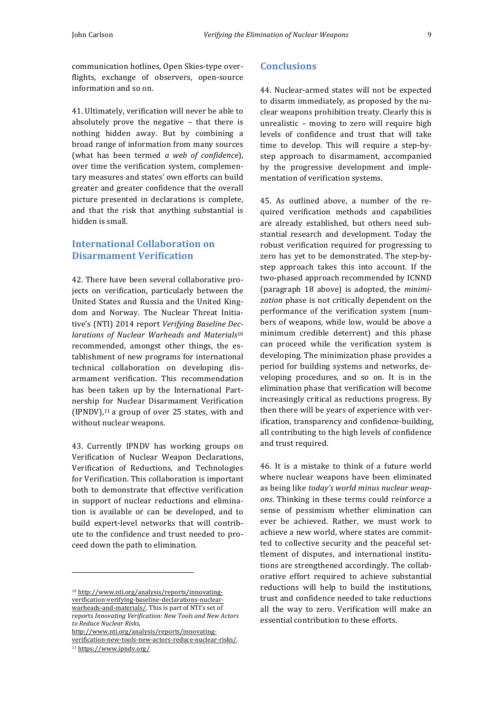communication hotlines, Open Skies-type overflights, exchange of observers, open-source information and so on.

41. Ultimately, verification will never be able to absolutely prove the negative  $-$  that there is nothing hidden away. But by combining a broad range of information from many sources (what has been termed *a* web of confidence), over time the verification system, complementary measures and states' own efforts can build greater and greater confidence that the overall picture presented in declarations is complete, and that the risk that anything substantial is hidden is small.

## **International Collaboration on Disarmament Verification**

42. There have been several collaborative projects on verification, particularly between the United States and Russia and the United Kingdom and Norway. The Nuclear Threat Initiative's (NTI) 2014 report Verifying Baseline Dec*larations of Nuclear Warheads and Materials*<sup>10</sup> recommended, amongst other things, the establishment of new programs for international technical collaboration on developing disarmament verification. This recommendation has been taken up by the International Partnership for Nuclear Disarmament Verification  $(IPNDV)$ ,<sup>11</sup> a group of over 25 states, with and without nuclear weapons.

43. Currently IPNDV has working groups on Verification of Nuclear Weapon Declarations, Verification of Reductions, and Technologies for Verification. This collaboration is important both to demonstrate that effective verification in support of nuclear reductions and elimination is available or can be developed, and to build expert-level networks that will contribute to the confidence and trust needed to proceed down the path to elimination.

http://www.nti.org/analysis/reports/innovatingverification-new-tools-new-actors-reduce-nuclear-risks/.

 

<sup>11</sup> https://www.ipndv.org/

#### **Conclusions**

44. Nuclear-armed states will not be expected to disarm immediately, as proposed by the nuclear weapons prohibition treaty. Clearly this is unrealistic  $-$  moving to zero will require high levels of confidence and trust that will take time to develop. This will require a step-bystep approach to disarmament, accompanied by the progressive development and implementation of verification systems.

45. As outlined above, a number of the required verification methods and capabilities are already established, but others need substantial research and development. Today the robust verification required for progressing to zero has yet to be demonstrated. The step-bystep approach takes this into account. If the two-phased approach recommended by ICNND (paragraph 18 above) is adopted, the *minimi*zation phase is not critically dependent on the performance of the verification system (numbers of weapons, while low, would be above a minimum credible deterrent) and this phase can proceed while the verification system is developing. The minimization phase provides a period for building systems and networks, developing procedures, and so on. It is in the elimination phase that verification will become increasingly critical as reductions progress. By then there will be years of experience with verification, transparency and confidence-building, all contributing to the high levels of confidence and trust required.

46. It is a mistake to think of a future world where nuclear weapons have been eliminated as being like *today's* world minus nuclear weap*ons*. Thinking in these terms could reinforce a sense of pessimism whether elimination can ever be achieved. Rather, we must work to achieve a new world, where states are committed to collective security and the peaceful settlement of disputes, and international institutions are strengthened accordingly. The collaborative effort required to achieve substantial reductions will help to build the institutions, trust and confidence needed to take reductions all the way to zero. Verification will make an essential contribution to these efforts.

<sup>10</sup> http://www.nti.org/analysis/reports/innovatingverification-verifying-baseline-declarations-nuclearwarheads-and-materials/. This is part of NTI's set of reports *Innovating Verification:* New Tools and New Actors *to Reduce Nuclear Risks*,